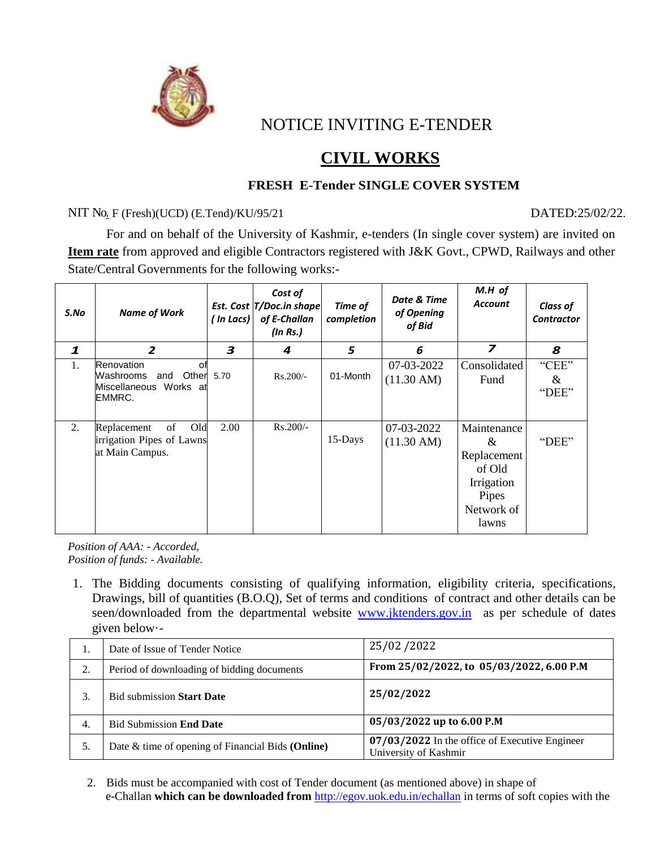

NOTICE INVITING E-TENDER

# **CIVIL WORKS**

## **FRESH E-Tender SINGLE COVER SYSTEM**

#### NIT No. F (Fresh)(UCD) (E.Tend)/KU/95/21 DATED:25/02/22.

For and on behalf of the University of Kashmir, e-tenders (In single cover system) are invited on **Item rate** from approved and eligible Contractors registered with J&K Govt., CPWD, Railways and other State/Central Governments for the following works:-

| S.No         | <b>Name of Work</b>                                                                    | In Lacs) | Cost of<br>Est. Cost T/Doc.in shape<br>of E-Challan<br>(In Rs.) | Time of<br>completion | Date & Time<br>of Opening<br>of Bid | $M.H$ of<br><b>Account</b>                                                              | <b>Class of</b><br><b>Contractor</b> |
|--------------|----------------------------------------------------------------------------------------|----------|-----------------------------------------------------------------|-----------------------|-------------------------------------|-----------------------------------------------------------------------------------------|--------------------------------------|
| $\mathbf{1}$ | $\overline{2}$                                                                         | 3        | 4                                                               | 5                     | 6                                   | $\overline{z}$                                                                          | 8                                    |
| 1.           | Renovation<br>оf<br>Washrooms<br>Other 5.70<br>and<br>Miscellaneous Works at<br>EMMRC. |          | $Rs.200/-$                                                      | 01-Month              | 07-03-2022<br>$(11.30 \text{ AM})$  | Consolidated<br>Fund                                                                    | "CEE"<br>$\&$<br>"DEE"               |
| 2.           | Old<br>Replacement<br>of<br>irrigation Pipes of Lawns<br>at Main Campus.               | 2.00     | $Rs.200/-$                                                      | 15-Days               | 07-03-2022<br>$(11.30 \text{ AM})$  | Maintenance<br>&<br>Replacement<br>of Old<br>Irrigation<br>Pipes<br>Network of<br>lawns | "DEE"                                |

*Position of AAA: - Accorded, Position of funds: - Available.*

1. The Bidding documents consisting of qualifying information, eligibility criteria, specifications, Drawings, bill of quantities (B.O.Q), Set of terms and conditions of contract and other details can be seen/downloaded from the departmental website [www.jktenders.gov.in](http://www.jktenders.gov.in/) as per schedule of dates given below·-

|    | Date of Issue of Tender Notice                    | 25/02/2022                                                              |  |  |
|----|---------------------------------------------------|-------------------------------------------------------------------------|--|--|
| ۷. | Period of downloading of bidding documents        | From 25/02/2022, to 05/03/2022, 6.00 P.M                                |  |  |
|    | <b>Bid submission Start Date</b>                  | 25/02/2022                                                              |  |  |
| 4. | <b>Bid Submission End Date</b>                    | 05/03/2022 up to 6.00 P.M                                               |  |  |
|    | Date & time of opening of Financial Bids (Online) | 07/03/2022 In the office of Executive Engineer<br>University of Kashmir |  |  |

2. Bids must be accompanied with cost of Tender document (as mentioned above) in shape of e-Challan **which can be downloaded from** <http://egov.uok.edu.in/echallan> in terms of soft copies with the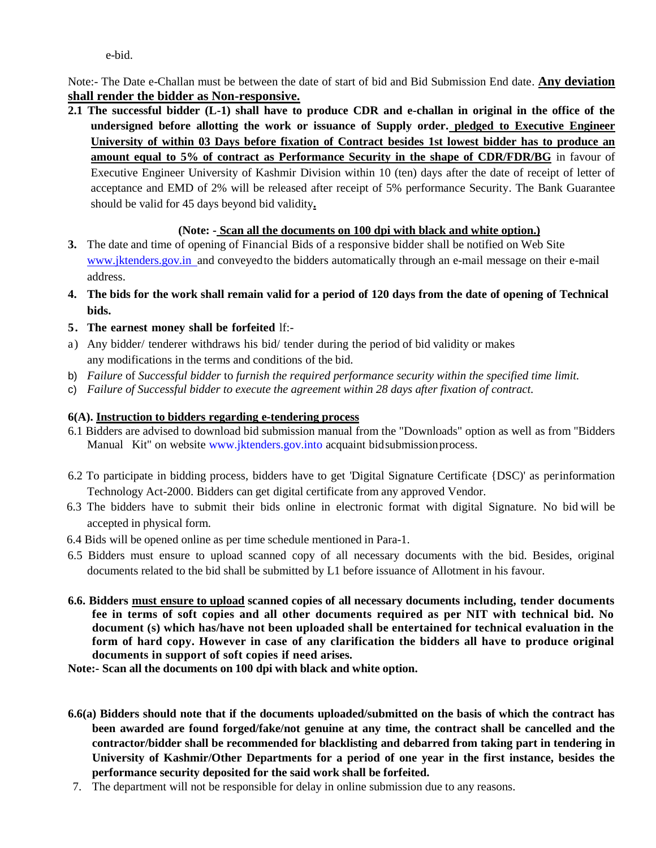e-bid.

Note:- The Date e-Challan must be between the date of start of bid and Bid Submission End date. **Any deviation shall render the bidder as Non-responsive.**

**2.1 The successful bidder (L-1) shall have to produce CDR and e-challan in original in the office of the undersigned before allotting the work or issuance of Supply order. pledged to Executive Engineer University of within 03 Days before fixation of Contract besides 1st lowest bidder has to produce an amount equal to 5% of contract as Performance Security in the shape of CDR/FDR/BG** in favour of Executive Engineer University of Kashmir Division within 10 (ten) days after the date of receipt of letter of acceptance and EMD of 2% will be released after receipt of 5% performance Security. The Bank Guarantee should be valid for 45 days beyond bid validity**.**

#### **(Note: - Scan all the documents on 100 dpi with black and white option.)**

- **3.** The date and time of opening of Financial Bids of a responsive bidder shall be notified on Web Site www.jktenders.gov.in and conveyed to the bidders automatically through an e-mail message on their e-mail address.
- 4. The bids for the work shall remain valid for a period of 120 days from the date of opening of Technical **bids.**
- **5. The earnest money shall be forfeited** lf:-
- a) Any bidder/ tenderer withdraws his bid/ tender during the period of bid validity or makes any modifications in the terms and conditions of the bid.
- b) *Failure* of *Successful bidder* to *furnish the required performance security within the specified time limit.*
- c) *Failure of Successful bidder to execute the agreement within 28 days after fixation of contract.*

#### **6(A). Instruction to bidders regarding e-tendering process**

- 6.1 Bidders are advised to download bid submission manual from the "Downloads" option as well as from "Bidders Manual Kit" on website [www.jktenders.gov.into](http://www.jktenders.gov.into/) acquaint bid submission process.
- 6.2 To participate in bidding process, bidders have to get 'Digital Signature Certificate {DSC)' as perinformation Technology Act-2000. Bidders can get digital certificate from any approved Vendor.
- 6.3 The bidders have to submit their bids online in electronic format with digital Signature. No bid will be accepted in physical form.
- 6.4 Bids will be opened online as per time schedule mentioned in Para-1.
- 6.5 Bidders must ensure to upload scanned copy of all necessary documents with the bid. Besides, original documents related to the bid shall be submitted by L1 before issuance of Allotment in his favour.
- **6.6. Bidders must ensure to upload scanned copies of all necessary documents including, tender documents fee in terms of soft copies and all other documents required as per NIT with technical bid. No document (s) which has/have not been uploaded shall be entertained for technical evaluation in the form of hard copy. However in case of any clarification the bidders all have to produce original documents in support of soft copies if need arises.**

**Note:- Scan all the documents on 100 dpi with black and white option.**

- **6.6(a) Bidders should note that if the documents uploaded/submitted on the basis of which the contract has been awarded are found forged/fake/not genuine at any time, the contract shall be cancelled and the contractor/bidder shall be recommended for blacklisting and debarred from taking part in tendering in University of Kashmir/Other Departments for a period of one year in the first instance, besides the performance security deposited for the said work shall be forfeited.**
- 7. The department will not be responsible for delay in online submission due to any reasons.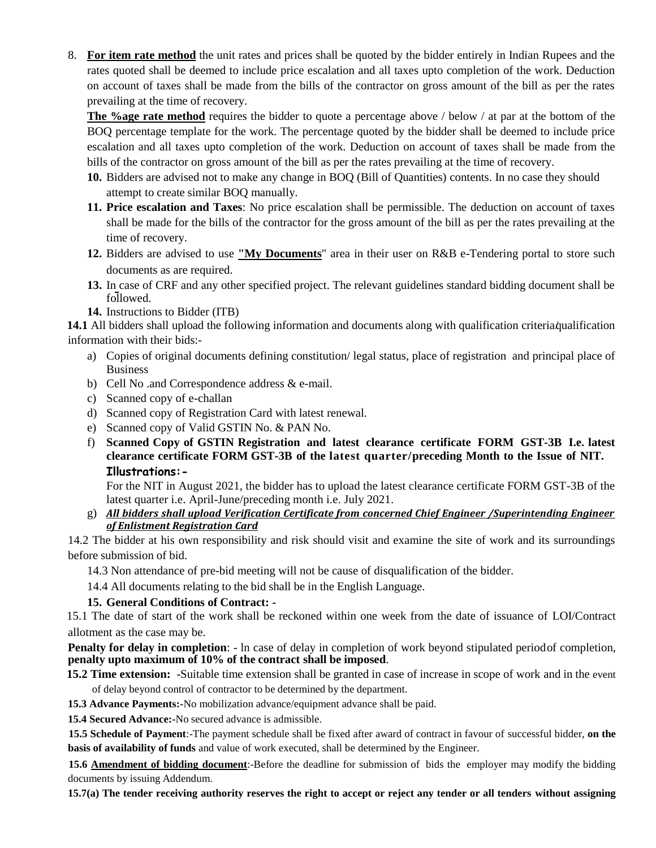8. **For item rate method** the unit rates and prices shall be quoted by the bidder entirely in Indian Rupees and the rates quoted shall be deemed to include price escalation and all taxes upto completion of the work. Deduction on account of taxes shall be made from the bills of the contractor on gross amount of the bill as per the rates prevailing at the time of recovery.

**The %age rate method** requires the bidder to quote a percentage above / below / at par at the bottom of the BOQ percentage template for the work. The percentage quoted by the bidder shall be deemed to include price escalation and all taxes upto completion of the work. Deduction on account of taxes shall be made from the bills of the contractor on gross amount of the bill as per the rates prevailing at the time of recovery.

- **10.** Bidders are advised not to make any change in BOQ (Bill of Quantities) contents. In no case they should attempt to create similar BOQ manually.
- **11. Price escalation and Taxes**: No price escalation shall be permissible. The deduction on account of taxes shall be made for the bills of the contractor for the gross amount of the bill as per the rates prevailing at the time of recovery.
- **12.** Bidders are advised to use **"My Documents**" area in their user on R&B e-Tendering portal to store such documents as are required.
- **13.** In case of CRF and any other specified project. The relevant guidelines standard bidding document shall be followed.
- **14.** Instructions to Bidder (ITB)

**14.1** All bidders shall upload the following information and documents along with qualification criteria/qualification information with their bids:-

- a) Copies of original documents defining constitution/ legal status, place of registration and principal place of Business
- b) Cell No .and Correspondence address & e-mail.
- c) Scanned copy of e-challan
- d) Scanned copy of Registration Card with latest renewal.
- e) Scanned copy of Valid GSTIN No. & PAN No.
- f) **Scanned Copy of GSTIN Registration and latest clearance certificate FORM GST-3B I.e. latest clearance certificate FORM GST-3B of the latest quarter/preceding Month to the Issue of NIT. Illustrations:-**

For the NIT in August 2021, the bidder has to upload the latest clearance certificate FORM GST-3B of the latest quarter i.e. April-June/preceding month i.e. July 2021.

g) *All bidders shall upload Verification Certificate from concerned Chief Engineer /Superintending Engineer of Enlistment Registration Card*

14.2 The bidder at his own responsibility and risk should visit and examine the site of work and its surroundings before submission of bid.

14.3 Non attendance of pre-bid meeting will not be cause of disqualification of the bidder.

14.4 All documents relating to the bid shall be in the English Language.

### **15. General Conditions of Contract: -**

15.1 The date of start of the work shall be reckoned within one week from the date of issuance of LOI/Contract allotment as the case may be.

**Penalty for delay in completion**: - In case of delay in completion of work beyond stipulated periodof completion, **penalty upto maximum of 10% of the contract shall be imposed**.

**15.2 Time extension:** -Suitable time extension shall be granted in case of increase in scope of work and in the event of delay beyond control of contractor to be determined by the department.

**15.3 Advance Payments:-**No mobilization advance/equipment advance shall be paid.

**15.4 Secured Advance:-**No secured advance is admissible.

**15.5 Schedule of Payment**:-The payment schedule shall be fixed after award of contract in favour of successful bidder, **on the basis of availability of funds** and value of work executed, shall be determined by the Engineer.

**15.6 Amendment of bidding document**:-Before the deadline for submission of bids the employer may modify the bidding documents by issuing Addendum.

**15.7(a) The tender receiving authority reserves the right to accept or reject any tender or all tenders without assigning**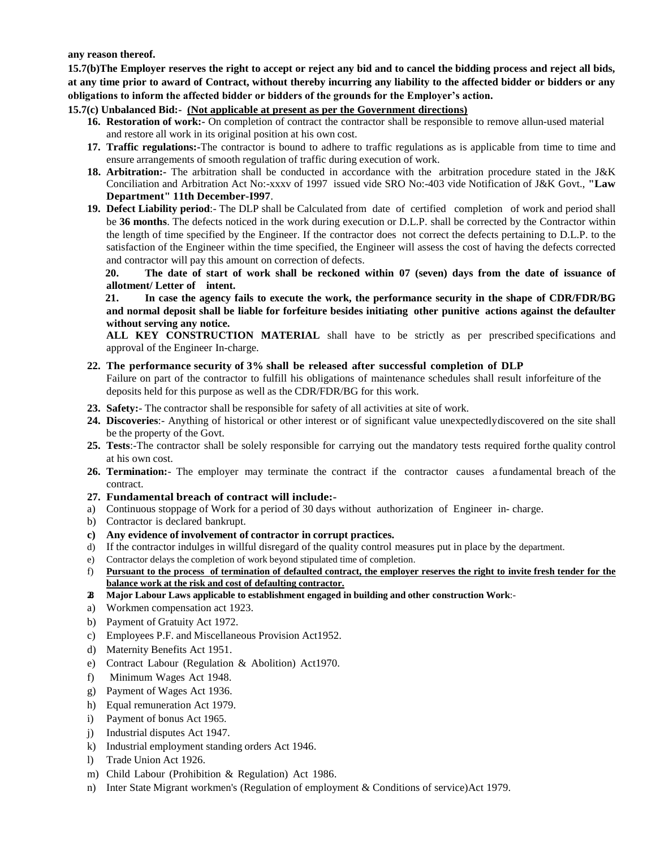**any reason thereof.**

**15.7(b)The Employer reserves the right to accept or reject any bid and to cancel the bidding process and reject all bids, at any time prior to award of Contract, without thereby incurring any liability to the affected bidder or bidders or any obligations to inform the affected bidder or bidders of the grounds for the Employer's action.**

**15.7(c) Unbalanced Bid:- (Not applicable at present as per the Government directions)**

- **16. Restoration of work:-** On completion of contract the contractor shall be responsible to remove allun-used material and restore all work in its original position at his own cost.
- **17. Traffic regulations:-**The contractor is bound to adhere to traffic regulations as is applicable from time to time and ensure arrangements of smooth regulation of traffic during execution of work.
- **18. Arbitration:-** The arbitration shall be conducted in accordance with the arbitration procedure stated in the J&K Conciliation and Arbitration Act No:-xxxv of 1997 issued vide SRO No:-403 vide Notification of J&K Govt., **"Law Department" 11th December-I997**.
- **19. Defect Liability period**:- The DLP shall be Calculated from date of certified completion of work and period shall be **36 months**. The defects noticed in the work during execution or D.L.P. shall be corrected by the Contractor within the length of time specified by the Engineer. If the contractor does not correct the defects pertaining to D.L.P. to the satisfaction of the Engineer within the time specified, the Engineer will assess the cost of having the defects corrected and contractor will pay this amount on correction of defects.

**20. The date of start of work shall be reckoned within 07 (seven) days from the date of issuance of allotment/ Letter of intent.** 

**21. In case the agency fails to execute the work, the performance security in the shape of CDR/FDR/BG and normal deposit shall be liable for forfeiture besides initiating other punitive actions against the defaulter without serving any notice.**

**ALL KEY CONSTRUCTION MATERIAL** shall have to be strictly as per prescribed specifications and approval of the Engineer In-charge.

#### **22. The performance security of 3% shall be released after successful completion of DLP**

Failure on part of the contractor to fulfill his obligations of maintenance schedules shall result inforfeiture of the deposits held for this purpose as well as the CDR/FDR/BG for this work.

- **23. Safety:** The contractor shall be responsible for safety of all activities at site of work.
- **24. Discoveries**:- Anything of historical or other interest or of significant value unexpectedlydiscovered on the site shall be the property of the Govt.
- **25. Tests**:-The contractor shall be solely responsible for carrying out the mandatory tests required forthe quality control at his own cost.
- **26. Termination:** The employer may terminate the contract if the contractor causes a fundamental breach of the contract.
- **27. Fundamental breach of contract will include:-**
- a) Continuous stoppage of Work for a period of 30 days without authorization of Engineer in- charge.
- b) Contractor is declared bankrupt.
- **c) Any evidence of involvement of contractor in corrupt practices.**
- d) If the contractor indulges in willful disregard of the quality control measures put in place by the department.
- e) Contractor delays the completion of work beyond stipulated time of completion.
- f) **Pursuant to the process of termination of defaulted contract, the employer reserves the right to invite fresh tender for the balance work at the risk and cost of defaulting contractor.**
- **28. Major Labour Laws applicable to establishment engaged in building and other construction Work**:-
- a) Workmen compensation act 1923.
- b) Payment of Gratuity Act 1972.
- c) Employees P.F. and Miscellaneous Provision Act1952.
- d) Maternity Benefits Act 1951.
- e) Contract Labour (Regulation & Abolition) Act1970.
- f) Minimum Wages Act 1948.
- g) Payment of Wages Act 1936.
- h) Equal remuneration Act 1979.
- i) Payment of bonus Act 1965.
- j) Industrial disputes Act 1947.
- k) Industrial employment standing orders Act 1946.
- l) Trade Union Act 1926.
- m) Child Labour (Prohibition & Regulation) Act 1986.
- n) Inter State Migrant workmen's (Regulation of employment & Conditions of service)Act 1979.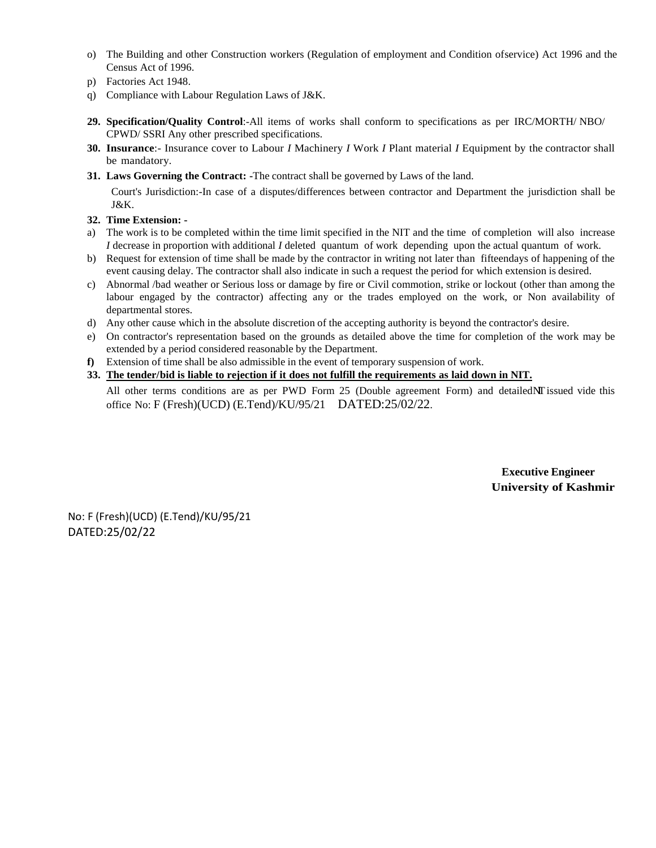- o) The Building and other Construction workers (Regulation of employment and Condition ofservice) Act 1996 and the Census Act of 1996.
- p) Factories Act 1948.
- q) Compliance with Labour Regulation Laws of J&K.
- **29. Specification/Quality Control**:-All items of works shall conform to specifications as per IRC/MORTH/ NBO/ CPWD/ SSRI Any other prescribed specifications.
- **30. Insurance**:- Insurance cover to Labour *I* Machinery *I* Work *I* Plant material *I* Equipment by the contractor shall be mandatory.
- **31. Laws Governing the Contract: -**The contract shall be governed by Laws of the land.

Court's Jurisdiction:-In case of a disputes/differences between contractor and Department the jurisdiction shall be J&K.

#### **32. Time Extension: -**

- a) The work is to be completed within the time limit specified in the NIT and the time of completion will also increase *I* decrease in proportion with additional *I* deleted quantum of work depending upon the actual quantum of work.
- b) Request for extension of time shall be made by the contractor in writing not later than fifteendays of happening of the event causing delay. The contractor shall also indicate in such a request the period for which extension is desired.
- c) Abnormal /bad weather or Serious loss or damage by fire or Civil commotion, strike or lockout (other than among the labour engaged by the contractor) affecting any or the trades employed on the work, or Non availability of departmental stores.
- d) Any other cause which in the absolute discretion of the accepting authority is beyond the contractor's desire.
- e) On contractor's representation based on the grounds as detailed above the time for completion of the work may be extended by a period considered reasonable by the Department.
- **f)** Extension of time shall be also admissible in the event of temporary suspension of work.
- **33. The tender/bid is liable to rejection if it does not fulfill the requirements as laid down in NIT.**

All other terms conditions are as per PWD Form 25 (Double agreement Form) and detailedNI issued vide this office No: F (Fresh)(UCD) (E.Tend)/KU/95/21 DATED:25/02/22.

> **Executive Engineer University of Kashmir**

No: F (Fresh)(UCD) (E.Tend)/KU/95/21 DATED:25/02/22